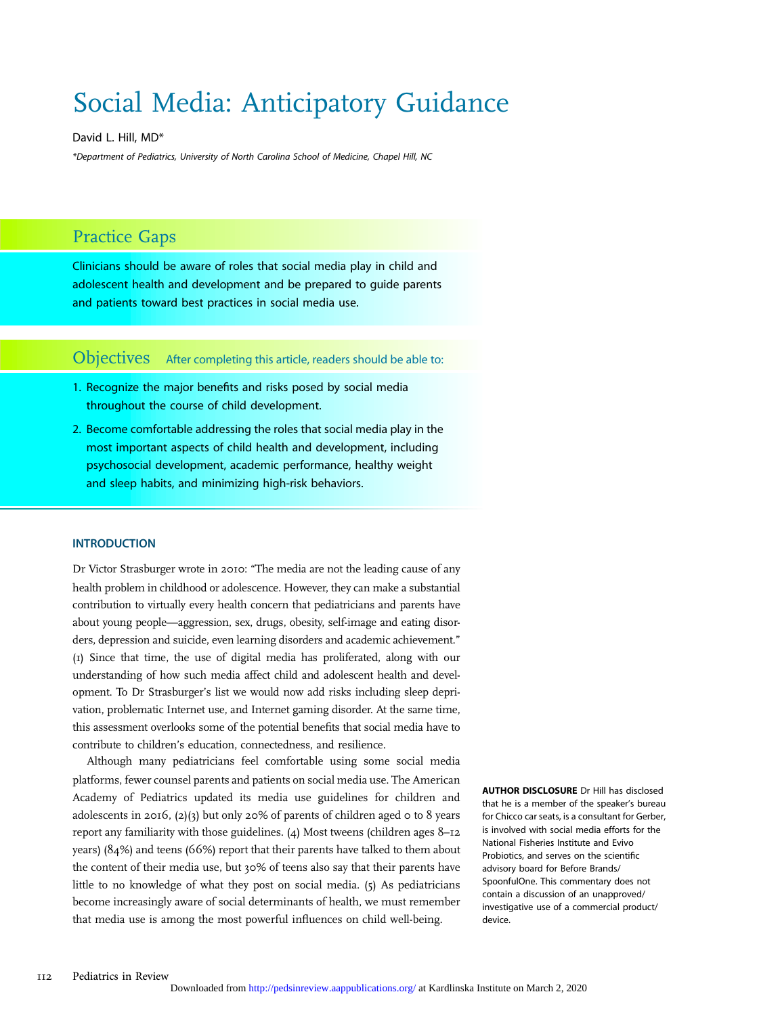# Social Media: Anticipatory Guidance

David L. Hill, MD\*

\*Department of Pediatrics, University of North Carolina School of Medicine, Chapel Hill, NC

# Practice Gaps

Clinicians should be aware of roles that social media play in child and adolescent health and development and be prepared to guide parents and patients toward best practices in social media use.

Objectives After completing this article, readers should be able to:

- 1. Recognize the major benefits and risks posed by social media throughout the course of child development.
- 2. Become comfortable addressing the roles that social media play in the most important aspects of child health and development, including psychosocial development, academic performance, healthy weight and sleep habits, and minimizing high-risk behaviors.

#### INTRODUCTION

Dr Victor Strasburger wrote in 2010: "The media are not the leading cause of any health problem in childhood or adolescence. However, they can make a substantial contribution to virtually every health concern that pediatricians and parents have about young people—aggression, sex, drugs, obesity, self-image and eating disorders, depression and suicide, even learning disorders and academic achievement." (1) Since that time, the use of digital media has proliferated, along with our understanding of how such media affect child and adolescent health and development. To Dr Strasburger's list we would now add risks including sleep deprivation, problematic Internet use, and Internet gaming disorder. At the same time, this assessment overlooks some of the potential benefits that social media have to contribute to children's education, connectedness, and resilience.

Although many pediatricians feel comfortable using some social media platforms, fewer counsel parents and patients on social media use. The American Academy of Pediatrics updated its media use guidelines for children and adolescents in 2016, (2)(3) but only 20% of parents of children aged 0 to 8 years report any familiarity with those guidelines. (4) Most tweens (children ages 8–12 years) (84%) and teens (66%) report that their parents have talked to them about the content of their media use, but 30% of teens also say that their parents have little to no knowledge of what they post on social media. (5) As pediatricians become increasingly aware of social determinants of health, we must remember that media use is among the most powerful influences on child well-being.

AUTHOR DISCLOSURE Dr Hill has disclosed that he is a member of the speaker's bureau for Chicco car seats, is a consultant for Gerber, is involved with social media efforts for the National Fisheries Institute and Evivo Probiotics, and serves on the scientific advisory board for Before Brands/ SpoonfulOne. This commentary does not contain a discussion of an unapproved/ investigative use of a commercial product/ device.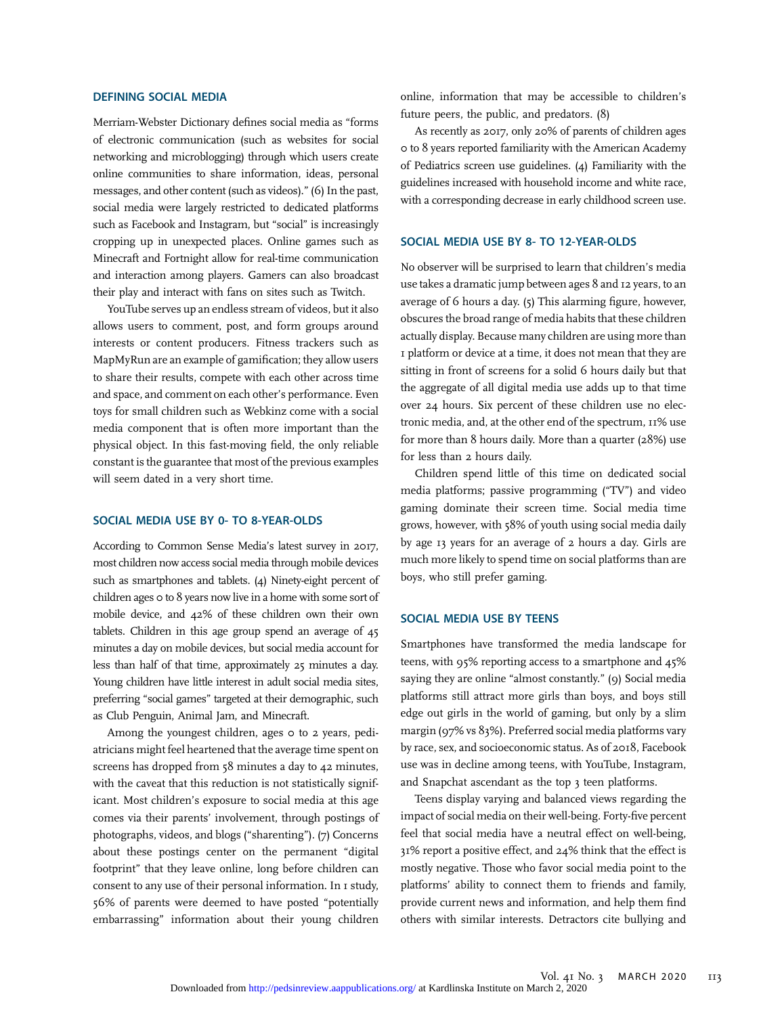#### DEFINING SOCIAL MEDIA

Merriam-Webster Dictionary defines social media as "forms of electronic communication (such as websites for social networking and microblogging) through which users create online communities to share information, ideas, personal messages, and other content (such as videos)." (6) In the past, social media were largely restricted to dedicated platforms such as Facebook and Instagram, but "social" is increasingly cropping up in unexpected places. Online games such as Minecraft and Fortnight allow for real-time communication and interaction among players. Gamers can also broadcast their play and interact with fans on sites such as Twitch.

YouTube serves up an endless stream of videos, but it also allows users to comment, post, and form groups around interests or content producers. Fitness trackers such as MapMyRun are an example of gamification; they allow users to share their results, compete with each other across time and space, and comment on each other's performance. Even toys for small children such as Webkinz come with a social media component that is often more important than the physical object. In this fast-moving field, the only reliable constant is the guarantee that most of the previous examples will seem dated in a very short time.

#### SOCIAL MEDIA USE BY 0- TO 8-YEAR-OLDS

According to Common Sense Media's latest survey in 2017, most children now access social media through mobile devices such as smartphones and tablets. (4) Ninety-eight percent of children ages 0 to 8 years now live in a home with some sort of mobile device, and 42% of these children own their own tablets. Children in this age group spend an average of 45 minutes a day on mobile devices, but social media account for less than half of that time, approximately 25 minutes a day. Young children have little interest in adult social media sites, preferring "social games" targeted at their demographic, such as Club Penguin, Animal Jam, and Minecraft.

Among the youngest children, ages o to 2 years, pediatricians might feel heartened that the average time spent on screens has dropped from 58 minutes a day to 42 minutes, with the caveat that this reduction is not statistically significant. Most children's exposure to social media at this age comes via their parents' involvement, through postings of photographs, videos, and blogs ("sharenting"). (7) Concerns about these postings center on the permanent "digital footprint" that they leave online, long before children can consent to any use of their personal information. In 1 study, 56% of parents were deemed to have posted "potentially embarrassing" information about their young children

online, information that may be accessible to children's future peers, the public, and predators. (8)

As recently as 2017, only 20% of parents of children ages 0 to 8 years reported familiarity with the American Academy of Pediatrics screen use guidelines. (4) Familiarity with the guidelines increased with household income and white race, with a corresponding decrease in early childhood screen use.

#### SOCIAL MEDIA USE BY 8- TO 12-YEAR-OLDS

No observer will be surprised to learn that children's media use takes a dramatic jump between ages 8 and 12 years, to an average of 6 hours a day. (5) This alarming figure, however, obscures the broad range of media habits that these children actually display. Because many children are using more than 1 platform or device at a time, it does not mean that they are sitting in front of screens for a solid 6 hours daily but that the aggregate of all digital media use adds up to that time over 24 hours. Six percent of these children use no electronic media, and, at the other end of the spectrum, 11% use for more than 8 hours daily. More than a quarter (28%) use for less than 2 hours daily.

Children spend little of this time on dedicated social media platforms; passive programming ("TV") and video gaming dominate their screen time. Social media time grows, however, with 58% of youth using social media daily by age 13 years for an average of 2 hours a day. Girls are much more likely to spend time on social platforms than are boys, who still prefer gaming.

#### SOCIAL MEDIA USE BY TEENS

Smartphones have transformed the media landscape for teens, with 95% reporting access to a smartphone and 45% saying they are online "almost constantly." (9) Social media platforms still attract more girls than boys, and boys still edge out girls in the world of gaming, but only by a slim margin (97% vs 83%). Preferred social media platforms vary by race, sex, and socioeconomic status. As of 2018, Facebook use was in decline among teens, with YouTube, Instagram, and Snapchat ascendant as the top 3 teen platforms.

Teens display varying and balanced views regarding the impact of social media on their well-being. Forty-five percent feel that social media have a neutral effect on well-being, 31% report a positive effect, and 24% think that the effect is mostly negative. Those who favor social media point to the platforms' ability to connect them to friends and family, provide current news and information, and help them find others with similar interests. Detractors cite bullying and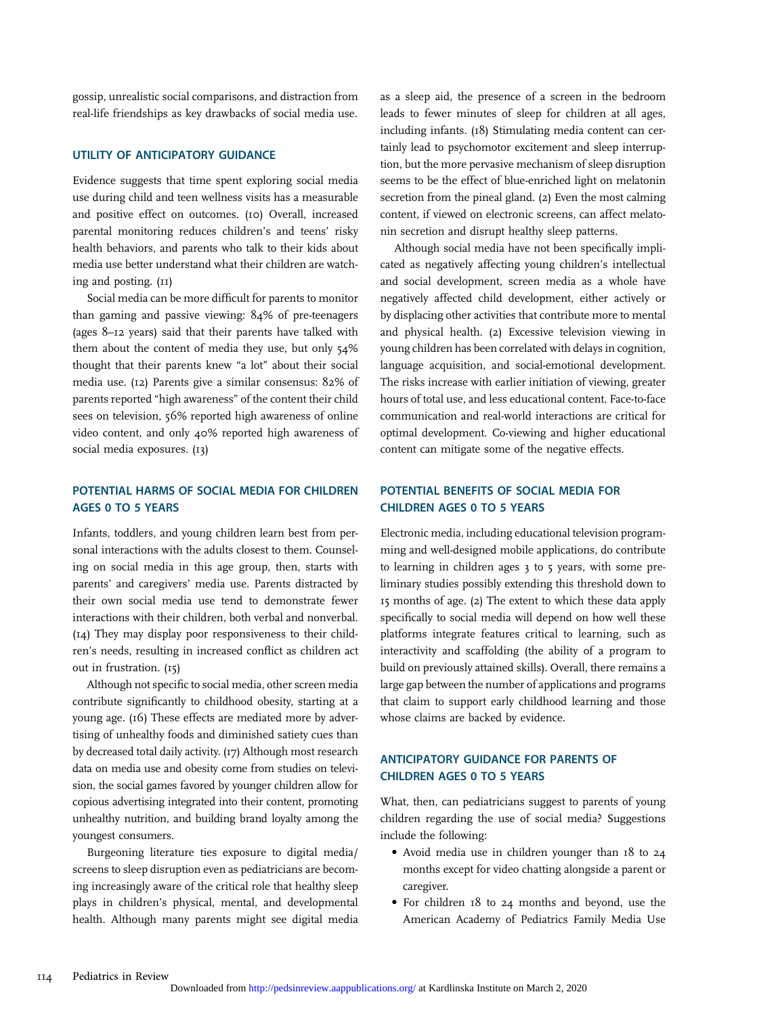gossip, unrealistic social comparisons, and distraction from real-life friendships as key drawbacks of social media use.

#### UTILITY OF ANTICIPATORY GUIDANCE

Evidence suggests that time spent exploring social media use during child and teen wellness visits has a measurable and positive effect on outcomes. (10) Overall, increased parental monitoring reduces children's and teens' risky health behaviors, and parents who talk to their kids about media use better understand what their children are watching and posting. (11)

Social media can be more difficult for parents to monitor than gaming and passive viewing: 84% of pre-teenagers (ages 8–12 years) said that their parents have talked with them about the content of media they use, but only 54% thought that their parents knew "a lot" about their social media use. (12) Parents give a similar consensus: 82% of parents reported "high awareness" of the content their child sees on television, 56% reported high awareness of online video content, and only 40% reported high awareness of social media exposures. (13)

## POTENTIAL HARMS OF SOCIAL MEDIA FOR CHILDREN AGES 0 TO 5 YEARS

Infants, toddlers, and young children learn best from personal interactions with the adults closest to them. Counseling on social media in this age group, then, starts with parents' and caregivers' media use. Parents distracted by their own social media use tend to demonstrate fewer interactions with their children, both verbal and nonverbal. (14) They may display poor responsiveness to their children's needs, resulting in increased conflict as children act out in frustration. (15)

Although not specific to social media, other screen media contribute significantly to childhood obesity, starting at a young age. (16) These effects are mediated more by advertising of unhealthy foods and diminished satiety cues than by decreased total daily activity. (17) Although most research data on media use and obesity come from studies on television, the social games favored by younger children allow for copious advertising integrated into their content, promoting unhealthy nutrition, and building brand loyalty among the youngest consumers.

Burgeoning literature ties exposure to digital media/ screens to sleep disruption even as pediatricians are becoming increasingly aware of the critical role that healthy sleep plays in children's physical, mental, and developmental health. Although many parents might see digital media as a sleep aid, the presence of a screen in the bedroom leads to fewer minutes of sleep for children at all ages, including infants. (18) Stimulating media content can certainly lead to psychomotor excitement and sleep interruption, but the more pervasive mechanism of sleep disruption seems to be the effect of blue-enriched light on melatonin secretion from the pineal gland. (2) Even the most calming content, if viewed on electronic screens, can affect melatonin secretion and disrupt healthy sleep patterns.

Although social media have not been specifically implicated as negatively affecting young children's intellectual and social development, screen media as a whole have negatively affected child development, either actively or by displacing other activities that contribute more to mental and physical health. (2) Excessive television viewing in young children has been correlated with delays in cognition, language acquisition, and social-emotional development. The risks increase with earlier initiation of viewing, greater hours of total use, and less educational content. Face-to-face communication and real-world interactions are critical for optimal development. Co-viewing and higher educational content can mitigate some of the negative effects.

#### POTENTIAL BENEFITS OF SOCIAL MEDIA FOR CHILDREN AGES 0 TO 5 YEARS

Electronic media, including educational television programming and well-designed mobile applications, do contribute to learning in children ages 3 to 5 years, with some preliminary studies possibly extending this threshold down to 15 months of age. (2) The extent to which these data apply specifically to social media will depend on how well these platforms integrate features critical to learning, such as interactivity and scaffolding (the ability of a program to build on previously attained skills). Overall, there remains a large gap between the number of applications and programs that claim to support early childhood learning and those whose claims are backed by evidence.

#### ANTICIPATORY GUIDANCE FOR PARENTS OF CHILDREN AGES 0 TO 5 YEARS

What, then, can pediatricians suggest to parents of young children regarding the use of social media? Suggestions include the following:

- Avoid media use in children younger than 18 to 24 months except for video chatting alongside a parent or caregiver.
- For children 18 to 24 months and beyond, use the American Academy of Pediatrics Family Media Use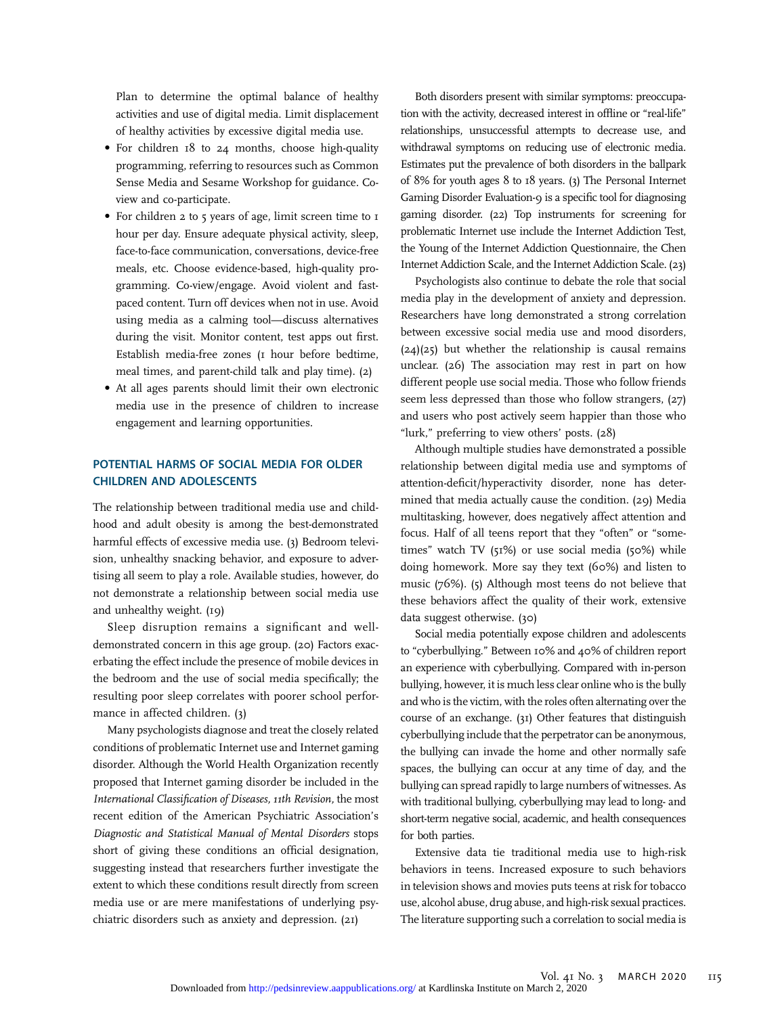Plan to determine the optimal balance of healthy activities and use of digital media. Limit displacement of healthy activities by excessive digital media use.

- For children 18 to 24 months, choose high-quality programming, referring to resources such as Common Sense Media and Sesame Workshop for guidance. Coview and co-participate.
- For children 2 to 5 years of age, limit screen time to 1 hour per day. Ensure adequate physical activity, sleep, face-to-face communication, conversations, device-free meals, etc. Choose evidence-based, high-quality programming. Co-view/engage. Avoid violent and fastpaced content. Turn off devices when not in use. Avoid using media as a calming tool—discuss alternatives during the visit. Monitor content, test apps out first. Establish media-free zones (1 hour before bedtime, meal times, and parent-child talk and play time). (2)
- At all ages parents should limit their own electronic media use in the presence of children to increase engagement and learning opportunities.

## POTENTIAL HARMS OF SOCIAL MEDIA FOR OLDER CHILDREN AND ADOLESCENTS

The relationship between traditional media use and childhood and adult obesity is among the best-demonstrated harmful effects of excessive media use. (3) Bedroom television, unhealthy snacking behavior, and exposure to advertising all seem to play a role. Available studies, however, do not demonstrate a relationship between social media use and unhealthy weight. (19)

Sleep disruption remains a significant and welldemonstrated concern in this age group. (20) Factors exacerbating the effect include the presence of mobile devices in the bedroom and the use of social media specifically; the resulting poor sleep correlates with poorer school performance in affected children. (3)

Many psychologists diagnose and treat the closely related conditions of problematic Internet use and Internet gaming disorder. Although the World Health Organization recently proposed that Internet gaming disorder be included in the International Classification of Diseases, 11th Revision, the most recent edition of the American Psychiatric Association's Diagnostic and Statistical Manual of Mental Disorders stops short of giving these conditions an official designation, suggesting instead that researchers further investigate the extent to which these conditions result directly from screen media use or are mere manifestations of underlying psychiatric disorders such as anxiety and depression. (21)

Both disorders present with similar symptoms: preoccupation with the activity, decreased interest in offline or "real-life" relationships, unsuccessful attempts to decrease use, and withdrawal symptoms on reducing use of electronic media. Estimates put the prevalence of both disorders in the ballpark of 8% for youth ages 8 to 18 years. (3) The Personal Internet Gaming Disorder Evaluation-9 is a specific tool for diagnosing gaming disorder. (22) Top instruments for screening for problematic Internet use include the Internet Addiction Test, the Young of the Internet Addiction Questionnaire, the Chen Internet Addiction Scale, and the Internet Addiction Scale. (23)

Psychologists also continue to debate the role that social media play in the development of anxiety and depression. Researchers have long demonstrated a strong correlation between excessive social media use and mood disorders,  $(24)(25)$  but whether the relationship is causal remains unclear. (26) The association may rest in part on how different people use social media. Those who follow friends seem less depressed than those who follow strangers, (27) and users who post actively seem happier than those who "lurk," preferring to view others' posts. (28)

Although multiple studies have demonstrated a possible relationship between digital media use and symptoms of attention-deficit/hyperactivity disorder, none has determined that media actually cause the condition. (29) Media multitasking, however, does negatively affect attention and focus. Half of all teens report that they "often" or "sometimes" watch TV (51%) or use social media (50%) while doing homework. More say they text (60%) and listen to music (76%). (5) Although most teens do not believe that these behaviors affect the quality of their work, extensive data suggest otherwise. (30)

Social media potentially expose children and adolescents to "cyberbullying." Between 10% and 40% of children report an experience with cyberbullying. Compared with in-person bullying, however, it is much less clear online who is the bully and who is the victim, with the roles often alternating over the course of an exchange. (31) Other features that distinguish cyberbullying include that the perpetrator can be anonymous, the bullying can invade the home and other normally safe spaces, the bullying can occur at any time of day, and the bullying can spread rapidly to large numbers of witnesses. As with traditional bullying, cyberbullying may lead to long- and short-term negative social, academic, and health consequences for both parties.

Extensive data tie traditional media use to high-risk behaviors in teens. Increased exposure to such behaviors in television shows and movies puts teens at risk for tobacco use, alcohol abuse, drug abuse, and high-risk sexual practices. The literature supporting such a correlation to social media is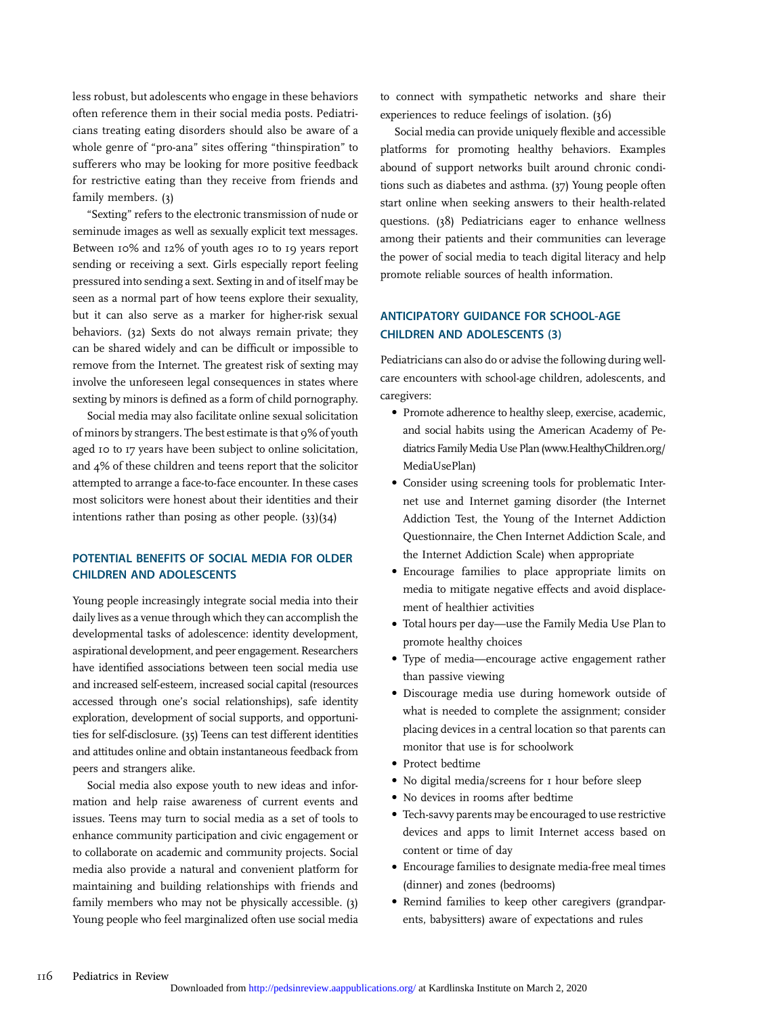less robust, but adolescents who engage in these behaviors often reference them in their social media posts. Pediatricians treating eating disorders should also be aware of a whole genre of "pro-ana" sites offering "thinspiration" to sufferers who may be looking for more positive feedback for restrictive eating than they receive from friends and family members. (3)

"Sexting" refers to the electronic transmission of nude or seminude images as well as sexually explicit text messages. Between 10% and 12% of youth ages 10 to 19 years report sending or receiving a sext. Girls especially report feeling pressured into sending a sext. Sexting in and of itself may be seen as a normal part of how teens explore their sexuality, but it can also serve as a marker for higher-risk sexual behaviors. (32) Sexts do not always remain private; they can be shared widely and can be difficult or impossible to remove from the Internet. The greatest risk of sexting may involve the unforeseen legal consequences in states where sexting by minors is defined as a form of child pornography.

Social media may also facilitate online sexual solicitation of minors by strangers. The best estimate is that 9% of youth aged 10 to 17 years have been subject to online solicitation, and 4% of these children and teens report that the solicitor attempted to arrange a face-to-face encounter. In these cases most solicitors were honest about their identities and their intentions rather than posing as other people. (33)(34)

# POTENTIAL BENEFITS OF SOCIAL MEDIA FOR OLDER CHILDREN AND ADOLESCENTS

Young people increasingly integrate social media into their daily lives as a venue through which they can accomplish the developmental tasks of adolescence: identity development, aspirational development, and peer engagement. Researchers have identified associations between teen social media use and increased self-esteem, increased social capital (resources accessed through one's social relationships), safe identity exploration, development of social supports, and opportunities for self-disclosure. (35) Teens can test different identities and attitudes online and obtain instantaneous feedback from peers and strangers alike.

Social media also expose youth to new ideas and information and help raise awareness of current events and issues. Teens may turn to social media as a set of tools to enhance community participation and civic engagement or to collaborate on academic and community projects. Social media also provide a natural and convenient platform for maintaining and building relationships with friends and family members who may not be physically accessible. (3) Young people who feel marginalized often use social media to connect with sympathetic networks and share their experiences to reduce feelings of isolation. (36)

Social media can provide uniquely flexible and accessible platforms for promoting healthy behaviors. Examples abound of support networks built around chronic conditions such as diabetes and asthma. (37) Young people often start online when seeking answers to their health-related questions. (38) Pediatricians eager to enhance wellness among their patients and their communities can leverage the power of social media to teach digital literacy and help promote reliable sources of health information.

## ANTICIPATORY GUIDANCE FOR SCHOOL-AGE CHILDREN AND ADOLESCENTS (3)

Pediatricians can also do or advise the following during wellcare encounters with school-age children, adolescents, and caregivers:

- Promote adherence to healthy sleep, exercise, academic, and social habits using the American Academy of Pediatrics Family Media Use Plan ([www.HealthyChildren.org/](http://www.HealthyChildren.org/MediaUsePlan) [MediaUsePlan](http://www.HealthyChildren.org/MediaUsePlan))
- Consider using screening tools for problematic Internet use and Internet gaming disorder (the Internet Addiction Test, the Young of the Internet Addiction Questionnaire, the Chen Internet Addiction Scale, and the Internet Addiction Scale) when appropriate
- Encourage families to place appropriate limits on media to mitigate negative effects and avoid displacement of healthier activities
- Total hours per day—use the Family Media Use Plan to promote healthy choices
- Type of media—encourage active engagement rather than passive viewing
- Discourage media use during homework outside of what is needed to complete the assignment; consider placing devices in a central location so that parents can monitor that use is for schoolwork
- Protect bedtime
- No digital media/screens for 1 hour before sleep
- No devices in rooms after bedtime
- Tech-savvy parents may be encouraged to use restrictive devices and apps to limit Internet access based on content or time of day
- Encourage families to designate media-free meal times (dinner) and zones (bedrooms)
- Remind families to keep other caregivers (grandparents, babysitters) aware of expectations and rules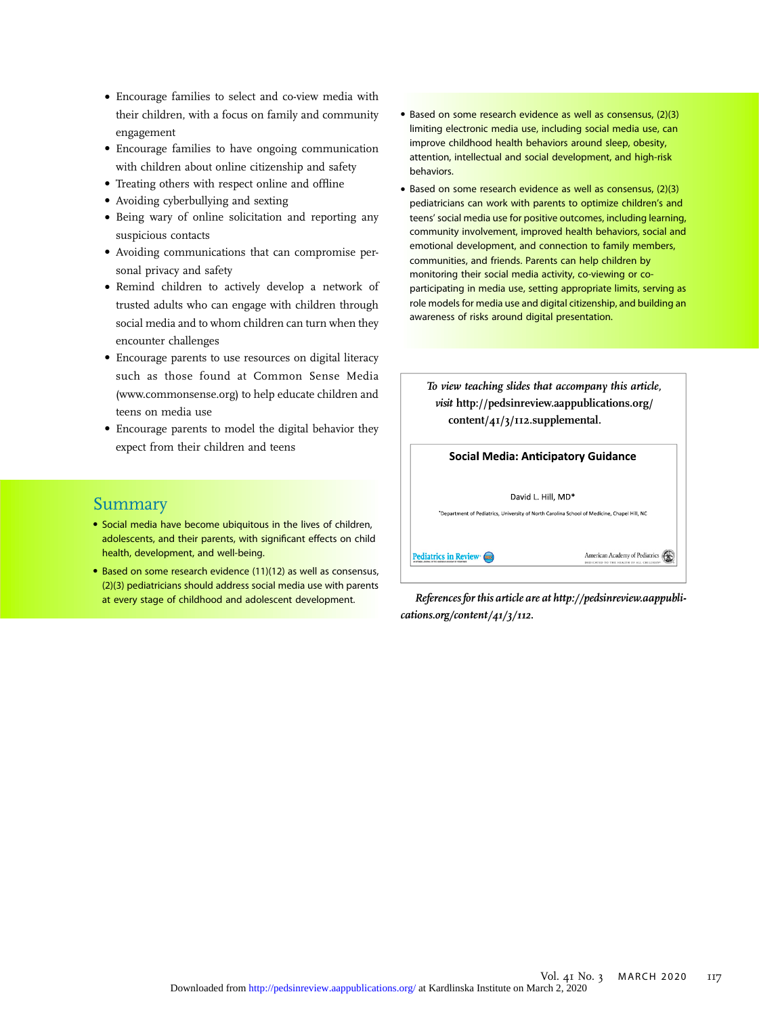- Encourage families to select and co-view media with their children, with a focus on family and community engagement
- Encourage families to have ongoing communication with children about online citizenship and safety
- Treating others with respect online and offline
- Avoiding cyberbullying and sexting
- Being wary of online solicitation and reporting any suspicious contacts
- Avoiding communications that can compromise personal privacy and safety
- Remind children to actively develop a network of trusted adults who can engage with children through social media and to whom children can turn when they encounter challenges
- Encourage parents to use resources on digital literacy such as those found at Common Sense Media [\(www.commonsense.org](http://www.commonsense.org)) to help educate children and teens on media use
- Encourage parents to model the digital behavior they expect from their children and teens
- Based on some research evidence as well as consensus, (2)(3) limiting electronic media use, including social media use, can improve childhood health behaviors around sleep, obesity, attention, intellectual and social development, and high-risk behaviors.
- Based on some research evidence as well as consensus, (2)(3) pediatricians can work with parents to optimize children's and teens' social media use for positive outcomes, including learning, community involvement, improved health behaviors, social and emotional development, and connection to family members, communities, and friends. Parents can help children by monitoring their social media activity, co-viewing or coparticipating in media use, setting appropriate limits, serving as role models for media use and digital citizenship, and building an awareness of risks around digital presentation.

| content/41/3/112.supplemental. | To view teaching slides that accompany this article,<br>visit http://pedsinreview.aappublications.org/ |
|--------------------------------|--------------------------------------------------------------------------------------------------------|
|                                | Social Media: Anticipatory Guidance                                                                    |
|                                | David L. Hill, MD*                                                                                     |
|                                | *Department of Pediatrics, University of North Carolina School of Medicine, Chapel Hill, NC            |
|                                | <b>American Academy of Pediatrics</b>                                                                  |

References for this article are at [http://pedsinreview.aappubli](http://pedsinreview.aappublications.org/content/41/3/112)[cations.org/content/41/3/112](http://pedsinreview.aappublications.org/content/41/3/112).

# Summary

- Social media have become ubiquitous in the lives of children, adolescents, and their parents, with significant effects on child health, development, and well-being.
- Based on some research evidence (11)(12) as well as consensus, (2)(3) pediatricians should address social media use with parents at every stage of childhood and adolescent development.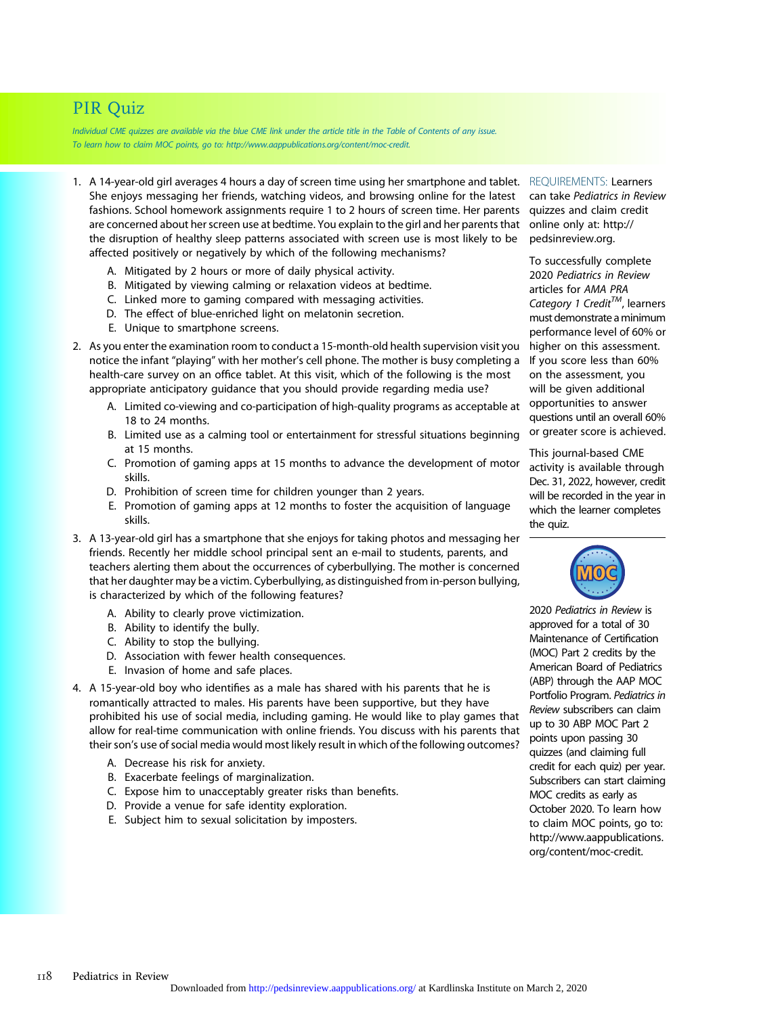# PIR Quiz

Individual CME quizzes are available via the blue CME link under the article title in the Table of Contents of any issue. To learn how to claim MOC points, go to: [http://www.aappublications.org/content/moc-credit.](http://www.aappublications.org/content/moc-credit)

- 1. A 14-year-old girl averages 4 hours a day of screen time using her smartphone and tablet. REQUIREMENTS: Learners She enjoys messaging her friends, watching videos, and browsing online for the latest fashions. School homework assignments require 1 to 2 hours of screen time. Her parents are concerned about her screen use at bedtime. You explain to the girl and her parents that the disruption of healthy sleep patterns associated with screen use is most likely to be affected positively or negatively by which of the following mechanisms?
	- A. Mitigated by 2 hours or more of daily physical activity.
	- B. Mitigated by viewing calming or relaxation videos at bedtime.
	- C. Linked more to gaming compared with messaging activities.
	- D. The effect of blue-enriched light on melatonin secretion.
	- E. Unique to smartphone screens.
- 2. As you enter the examination room to conduct a 15-month-old health supervision visit you notice the infant "playing" with her mother's cell phone. The mother is busy completing a health-care survey on an office tablet. At this visit, which of the following is the most appropriate anticipatory guidance that you should provide regarding media use?
	- A. Limited co-viewing and co-participation of high-quality programs as acceptable at 18 to 24 months.
	- B. Limited use as a calming tool or entertainment for stressful situations beginning at 15 months.
	- C. Promotion of gaming apps at 15 months to advance the development of motor skills.
	- D. Prohibition of screen time for children younger than 2 years.
	- E. Promotion of gaming apps at 12 months to foster the acquisition of language skills.
- 3. A 13-year-old girl has a smartphone that she enjoys for taking photos and messaging her friends. Recently her middle school principal sent an e-mail to students, parents, and teachers alerting them about the occurrences of cyberbullying. The mother is concerned that her daughter may be a victim. Cyberbullying, as distinguished from in-person bullying, is characterized by which of the following features?
	- A. Ability to clearly prove victimization.
	- B. Ability to identify the bully.
	- C. Ability to stop the bullying.
	- D. Association with fewer health consequences.
	- E. Invasion of home and safe places.
- 4. A 15-year-old boy who identifies as a male has shared with his parents that he is romantically attracted to males. His parents have been supportive, but they have prohibited his use of social media, including gaming. He would like to play games that allow for real-time communication with online friends. You discuss with his parents that their son's use of social media would most likely result in which of the following outcomes?
	- A. Decrease his risk for anxiety.
	- B. Exacerbate feelings of marginalization.
	- C. Expose him to unacceptably greater risks than benefits.
	- D. Provide a venue for safe identity exploration.
	- E. Subject him to sexual solicitation by imposters.

can take Pediatrics in Review quizzes and claim credit online only at: [http://](http://pedsinreview.org) [pedsinreview.org](http://pedsinreview.org).

To successfully complete 2020 Pediatrics in Review articles for AMA PRA Category 1 Credit<sup>TM</sup>, learners must demonstrate aminimum performance level of 60% or higher on this assessment. If you score less than 60% on the assessment, you will be given additional opportunities to answer questions until an overall 60% or greater score is achieved.

This journal-based CME activity is available through Dec. 31, 2022, however, credit will be recorded in the year in which the learner completes the quiz.



2020 Pediatrics in Review is approved for a total of 30 Maintenance of Certification (MOC) Part 2 credits by the American Board of Pediatrics (ABP) through the AAP MOC Portfolio Program. Pediatrics in Review subscribers can claim up to 30 ABP MOC Part 2 points upon passing 30 quizzes (and claiming full credit for each quiz) per year. Subscribers can start claiming MOC credits as early as October 2020. To learn how to claim MOC points, go to: [http://www.aappublications.](http://www.aappublications.org/content/moc-credit) [org/content/moc-credit](http://www.aappublications.org/content/moc-credit).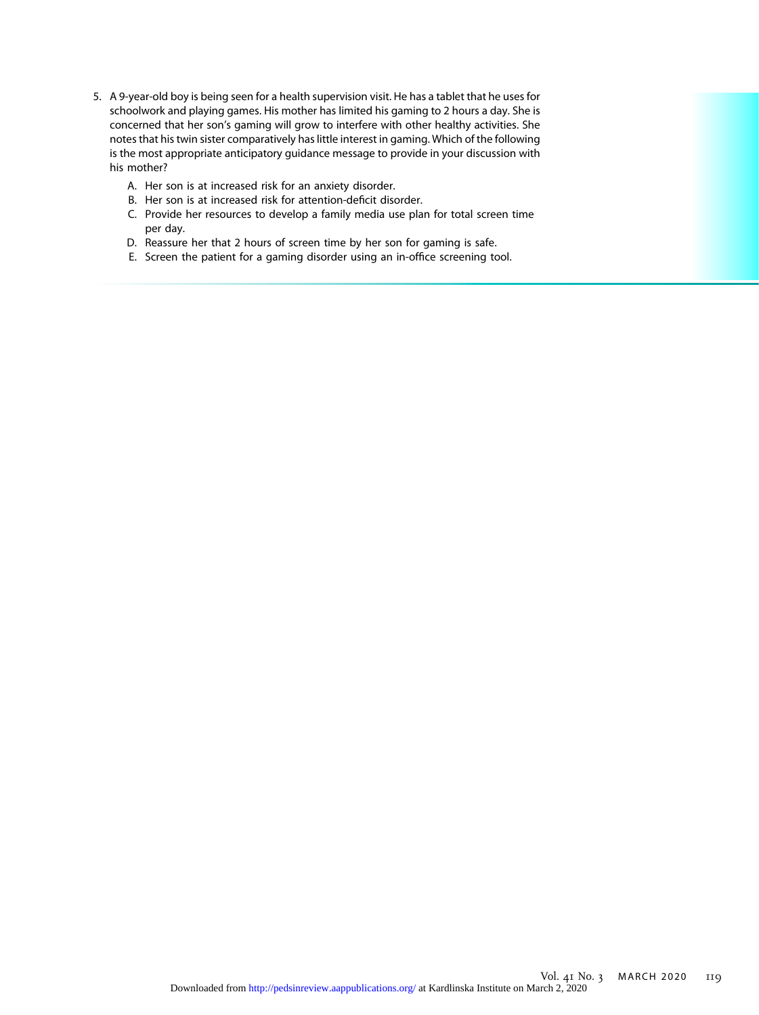- 5. A 9-year-old boy is being seen for a health supervision visit. He has a tablet that he uses for schoolwork and playing games. His mother has limited his gaming to 2 hours a day. She is concerned that her son's gaming will grow to interfere with other healthy activities. She notes that his twin sister comparatively has little interest in gaming. Which of the following is the most appropriate anticipatory guidance message to provide in your discussion with his mother?
	- A. Her son is at increased risk for an anxiety disorder.
	- B. Her son is at increased risk for attention-deficit disorder.
	- C. Provide her resources to develop a family media use plan for total screen time per day.
	- D. Reassure her that 2 hours of screen time by her son for gaming is safe.
	- E. Screen the patient for a gaming disorder using an in-office screening tool.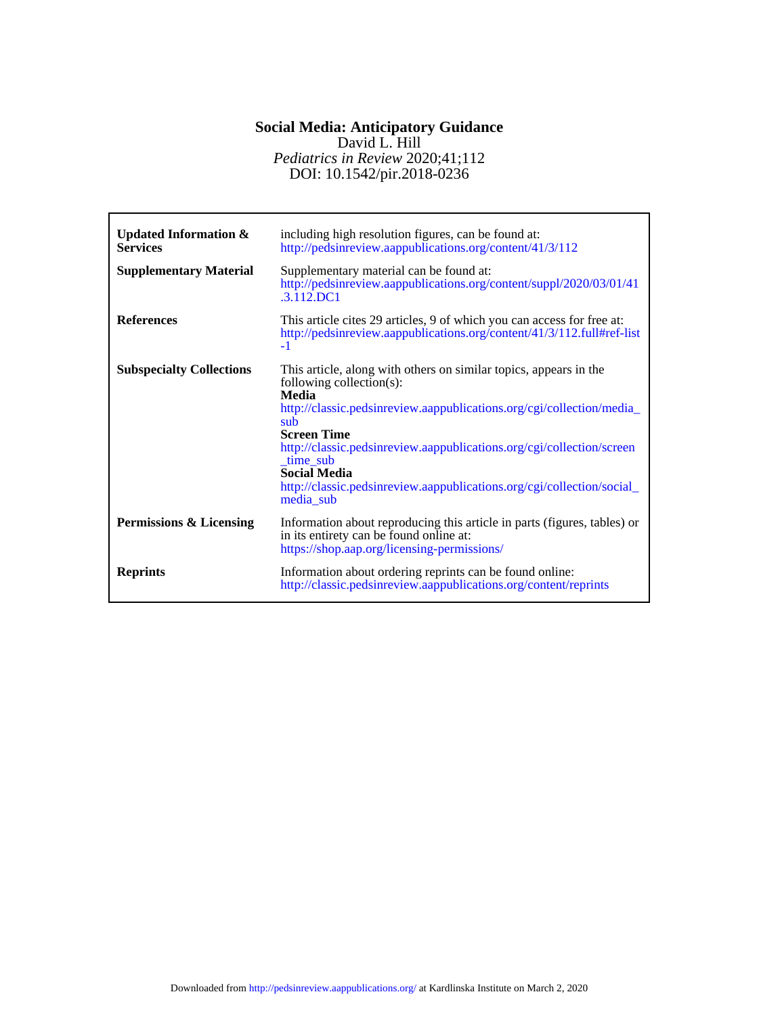# DOI: 10.1542/pir.2018-0236 *Pediatrics in Review* 2020;41;112 David L. Hill **Social Media: Anticipatory Guidance**

| <b>Updated Information &amp;</b><br><b>Services</b><br><b>Supplementary Material</b> | including high resolution figures, can be found at:<br>http://pedsinreview.aappublications.org/content/41/3/112<br>Supplementary material can be found at:<br>http://pedsinreview.aappublications.org/content/suppl/2020/03/01/41<br>$.3.112$ DC1                                                                                                                                                                |
|--------------------------------------------------------------------------------------|------------------------------------------------------------------------------------------------------------------------------------------------------------------------------------------------------------------------------------------------------------------------------------------------------------------------------------------------------------------------------------------------------------------|
| <b>References</b>                                                                    | This article cites 29 articles, 9 of which you can access for free at:<br>http://pedsinreview.aappublications.org/content/41/3/112.full#ref-list<br>$-1$                                                                                                                                                                                                                                                         |
| <b>Subspecialty Collections</b>                                                      | This article, along with others on similar topics, appears in the<br>following collection(s):<br>Media<br>http://classic.pedsinreview.aappublications.org/cgi/collection/media_<br>sub<br><b>Screen Time</b><br>http://classic.pedsinreview.aappublications.org/cgi/collection/screen<br>_time_sub<br><b>Social Media</b><br>http://classic.pedsinreview.aappublications.org/cgi/collection/social_<br>media sub |
| Permissions & Licensing                                                              | Information about reproducing this article in parts (figures, tables) or<br>in its entirety can be found online at:<br>https://shop.aap.org/licensing-permissions/                                                                                                                                                                                                                                               |
| <b>Reprints</b>                                                                      | Information about ordering reprints can be found online:<br>http://classic.pedsinreview.aappublications.org/content/reprints                                                                                                                                                                                                                                                                                     |